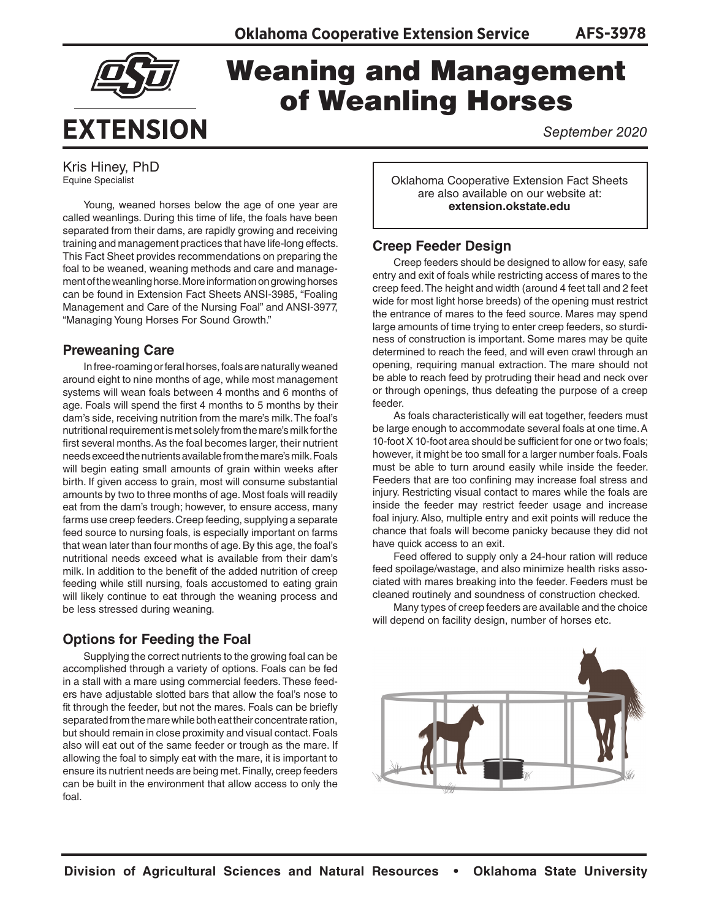

# Weaning and Management of Weanling Horses

*September 2020*

Kris Hiney, PhD Equine Specialist

Young, weaned horses below the age of one year are called weanlings. During this time of life, the foals have been separated from their dams, are rapidly growing and receiving training and management practices that have life-long effects. This Fact Sheet provides recommendations on preparing the foal to be weaned, weaning methods and care and management of the weanling horse. More information on growing horses can be found in Extension Fact Sheets ANSI-3985, "Foaling Management and Care of the Nursing Foal" and ANSI-3977, "Managing Young Horses For Sound Growth."

## **Preweaning Care**

In free-roaming or feral horses, foals are naturally weaned around eight to nine months of age, while most management systems will wean foals between 4 months and 6 months of age. Foals will spend the first 4 months to 5 months by their dam's side, receiving nutrition from the mare's milk. The foal's nutritional requirement is met solely from the mare's milk for the first several months. As the foal becomes larger, their nutrient needs exceed the nutrients available from the mare's milk. Foals will begin eating small amounts of grain within weeks after birth. If given access to grain, most will consume substantial amounts by two to three months of age. Most foals will readily eat from the dam's trough; however, to ensure access, many farms use creep feeders. Creep feeding, supplying a separate feed source to nursing foals, is especially important on farms that wean later than four months of age. By this age, the foal's nutritional needs exceed what is available from their dam's milk. In addition to the benefit of the added nutrition of creep feeding while still nursing, foals accustomed to eating grain will likely continue to eat through the weaning process and be less stressed during weaning.

## **Options for Feeding the Foal**

Supplying the correct nutrients to the growing foal can be accomplished through a variety of options. Foals can be fed in a stall with a mare using commercial feeders. These feeders have adjustable slotted bars that allow the foal's nose to fit through the feeder, but not the mares. Foals can be briefly separated from the mare while both eat their concentrate ration, but should remain in close proximity and visual contact. Foals also will eat out of the same feeder or trough as the mare. If allowing the foal to simply eat with the mare, it is important to ensure its nutrient needs are being met. Finally, creep feeders can be built in the environment that allow access to only the foal.

Oklahoma Cooperative Extension Fact Sheets are also available on our website at: **extension.okstate.edu**

## **Creep Feeder Design**

Creep feeders should be designed to allow for easy, safe entry and exit of foals while restricting access of mares to the creep feed. The height and width (around 4 feet tall and 2 feet wide for most light horse breeds) of the opening must restrict the entrance of mares to the feed source. Mares may spend large amounts of time trying to enter creep feeders, so sturdiness of construction is important. Some mares may be quite determined to reach the feed, and will even crawl through an opening, requiring manual extraction. The mare should not be able to reach feed by protruding their head and neck over or through openings, thus defeating the purpose of a creep feeder.

As foals characteristically will eat together, feeders must be large enough to accommodate several foals at one time. A 10-foot X 10-foot area should be sufficient for one or two foals; however, it might be too small for a larger number foals. Foals must be able to turn around easily while inside the feeder. Feeders that are too confining may increase foal stress and injury. Restricting visual contact to mares while the foals are inside the feeder may restrict feeder usage and increase foal injury. Also, multiple entry and exit points will reduce the chance that foals will become panicky because they did not have quick access to an exit.

Feed offered to supply only a 24-hour ration will reduce feed spoilage/wastage, and also minimize health risks associated with mares breaking into the feeder. Feeders must be cleaned routinely and soundness of construction checked.

Many types of creep feeders are available and the choice will depend on facility design, number of horses etc.

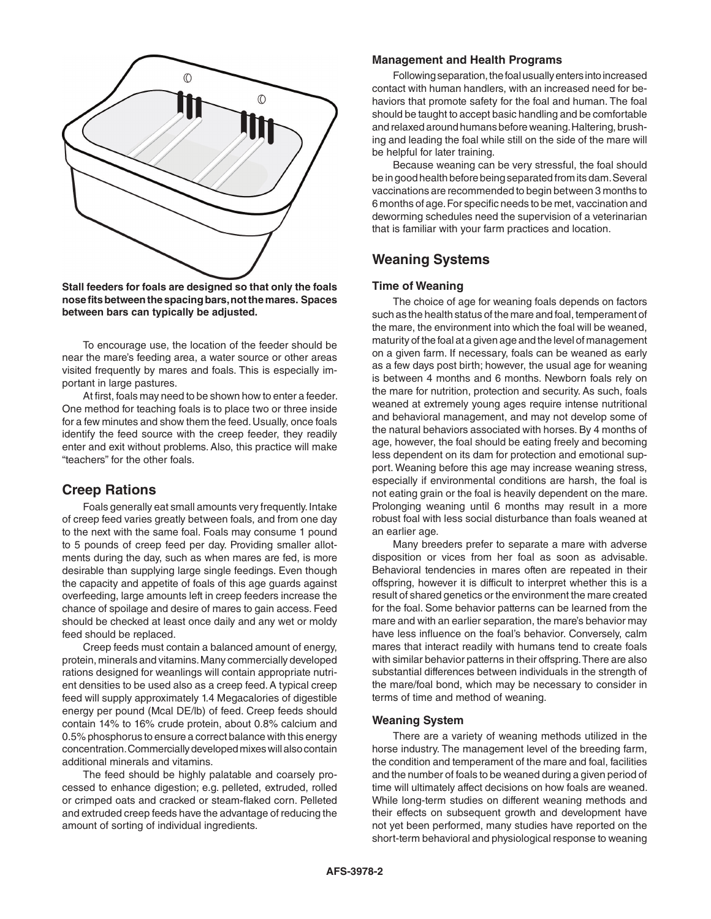

**Stall feeders for foals are designed so that only the foals nose fits between the spacing bars, not the mares. Spaces between bars can typically be adjusted.**

To encourage use, the location of the feeder should be near the mare's feeding area, a water source or other areas visited frequently by mares and foals. This is especially important in large pastures.

At first, foals may need to be shown how to enter a feeder. One method for teaching foals is to place two or three inside for a few minutes and show them the feed. Usually, once foals identify the feed source with the creep feeder, they readily enter and exit without problems. Also, this practice will make "teachers" for the other foals.

## **Creep Rations**

Foals generally eat small amounts very frequently. Intake of creep feed varies greatly between foals, and from one day to the next with the same foal. Foals may consume 1 pound to 5 pounds of creep feed per day. Providing smaller allotments during the day, such as when mares are fed, is more desirable than supplying large single feedings. Even though the capacity and appetite of foals of this age guards against overfeeding, large amounts left in creep feeders increase the chance of spoilage and desire of mares to gain access. Feed should be checked at least once daily and any wet or moldy feed should be replaced.

Creep feeds must contain a balanced amount of energy, protein, minerals and vitamins. Many commercially developed rations designed for weanlings will contain appropriate nutrient densities to be used also as a creep feed. A typical creep feed will supply approximately 1.4 Megacalories of digestible energy per pound (Mcal DE/lb) of feed. Creep feeds should contain 14% to 16% crude protein, about 0.8% calcium and 0.5% phosphorus to ensure a correct balance with this energy concentration. Commercially developed mixes will also contain additional minerals and vitamins.

The feed should be highly palatable and coarsely processed to enhance digestion; e.g. pelleted, extruded, rolled or crimped oats and cracked or steam-flaked corn. Pelleted and extruded creep feeds have the advantage of reducing the amount of sorting of individual ingredients.

#### **Management and Health Programs**

Following separation, the foal usually enters into increased contact with human handlers, with an increased need for behaviors that promote safety for the foal and human. The foal should be taught to accept basic handling and be comfortable and relaxed around humans before weaning. Haltering, brushing and leading the foal while still on the side of the mare will be helpful for later training.

Because weaning can be very stressful, the foal should be in good health before being separated from its dam. Several vaccinations are recommended to begin between 3 months to 6 months of age. For specific needs to be met, vaccination and deworming schedules need the supervision of a veterinarian that is familiar with your farm practices and location.

## **Weaning Systems**

#### **Time of Weaning**

The choice of age for weaning foals depends on factors such as the health status of the mare and foal, temperament of the mare, the environment into which the foal will be weaned, maturity of the foal at a given age and the level of management on a given farm. If necessary, foals can be weaned as early as a few days post birth; however, the usual age for weaning is between 4 months and 6 months. Newborn foals rely on the mare for nutrition, protection and security. As such, foals weaned at extremely young ages require intense nutritional and behavioral management, and may not develop some of the natural behaviors associated with horses. By 4 months of age, however, the foal should be eating freely and becoming less dependent on its dam for protection and emotional support. Weaning before this age may increase weaning stress, especially if environmental conditions are harsh, the foal is not eating grain or the foal is heavily dependent on the mare. Prolonging weaning until 6 months may result in a more robust foal with less social disturbance than foals weaned at an earlier age.

Many breeders prefer to separate a mare with adverse disposition or vices from her foal as soon as advisable. Behavioral tendencies in mares often are repeated in their offspring, however it is difficult to interpret whether this is a result of shared genetics or the environment the mare created for the foal. Some behavior patterns can be learned from the mare and with an earlier separation, the mare's behavior may have less influence on the foal's behavior. Conversely, calm mares that interact readily with humans tend to create foals with similar behavior patterns in their offspring. There are also substantial differences between individuals in the strength of the mare/foal bond, which may be necessary to consider in terms of time and method of weaning.

#### **Weaning System**

There are a variety of weaning methods utilized in the horse industry. The management level of the breeding farm, the condition and temperament of the mare and foal, facilities and the number of foals to be weaned during a given period of time will ultimately affect decisions on how foals are weaned. While long-term studies on different weaning methods and their effects on subsequent growth and development have not yet been performed, many studies have reported on the short-term behavioral and physiological response to weaning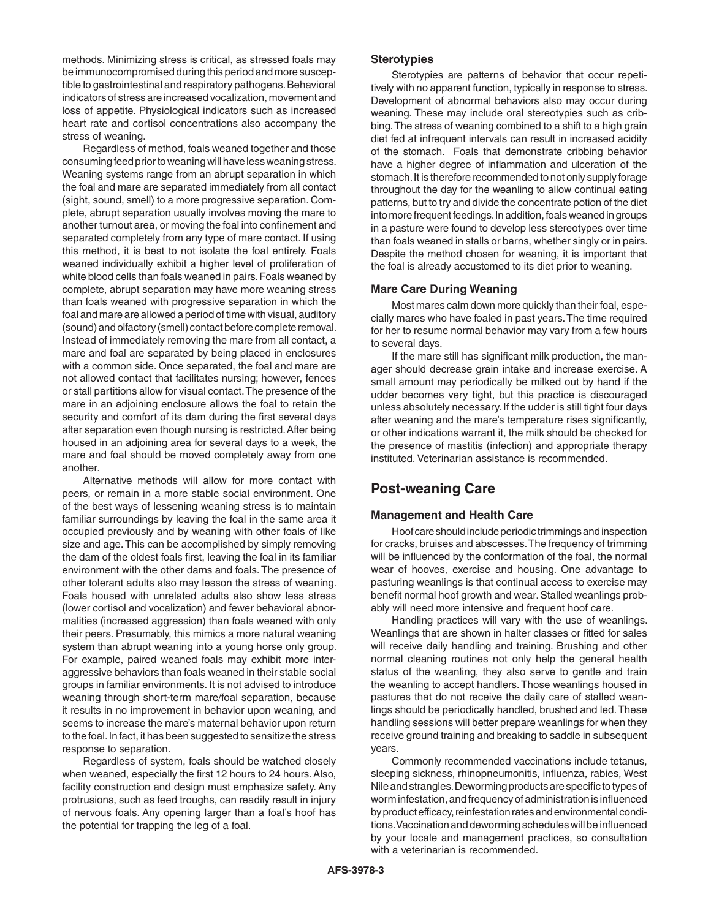methods. Minimizing stress is critical, as stressed foals may be immunocompromised during this period and more susceptible to gastrointestinal and respiratory pathogens. Behavioral indicators of stress are increased vocalization, movement and loss of appetite. Physiological indicators such as increased heart rate and cortisol concentrations also accompany the stress of weaning.

Regardless of method, foals weaned together and those consuming feed prior to weaning will have less weaning stress. Weaning systems range from an abrupt separation in which the foal and mare are separated immediately from all contact (sight, sound, smell) to a more progressive separation. Complete, abrupt separation usually involves moving the mare to another turnout area, or moving the foal into confinement and separated completely from any type of mare contact. If using this method, it is best to not isolate the foal entirely. Foals weaned individually exhibit a higher level of proliferation of white blood cells than foals weaned in pairs. Foals weaned by complete, abrupt separation may have more weaning stress than foals weaned with progressive separation in which the foal and mare are allowed a period of time with visual, auditory (sound) and olfactory (smell) contact before complete removal. Instead of immediately removing the mare from all contact, a mare and foal are separated by being placed in enclosures with a common side. Once separated, the foal and mare are not allowed contact that facilitates nursing; however, fences or stall partitions allow for visual contact. The presence of the mare in an adjoining enclosure allows the foal to retain the security and comfort of its dam during the first several days after separation even though nursing is restricted. After being housed in an adjoining area for several days to a week, the mare and foal should be moved completely away from one another.

Alternative methods will allow for more contact with peers, or remain in a more stable social environment. One of the best ways of lessening weaning stress is to maintain familiar surroundings by leaving the foal in the same area it occupied previously and by weaning with other foals of like size and age. This can be accomplished by simply removing the dam of the oldest foals first, leaving the foal in its familiar environment with the other dams and foals. The presence of other tolerant adults also may lesson the stress of weaning. Foals housed with unrelated adults also show less stress (lower cortisol and vocalization) and fewer behavioral abnormalities (increased aggression) than foals weaned with only their peers. Presumably, this mimics a more natural weaning system than abrupt weaning into a young horse only group. For example, paired weaned foals may exhibit more interaggressive behaviors than foals weaned in their stable social groups in familiar environments. It is not advised to introduce weaning through short-term mare/foal separation, because it results in no improvement in behavior upon weaning, and seems to increase the mare's maternal behavior upon return to the foal. In fact, it has been suggested to sensitize the stress response to separation.

Regardless of system, foals should be watched closely when weaned, especially the first 12 hours to 24 hours. Also, facility construction and design must emphasize safety. Any protrusions, such as feed troughs, can readily result in injury of nervous foals. Any opening larger than a foal's hoof has the potential for trapping the leg of a foal.

#### **Sterotypies**

Sterotypies are patterns of behavior that occur repetitively with no apparent function, typically in response to stress. Development of abnormal behaviors also may occur during weaning. These may include oral stereotypies such as cribbing. The stress of weaning combined to a shift to a high grain diet fed at infrequent intervals can result in increased acidity of the stomach. Foals that demonstrate cribbing behavior have a higher degree of inflammation and ulceration of the stomach. It is therefore recommended to not only supply forage throughout the day for the weanling to allow continual eating patterns, but to try and divide the concentrate potion of the diet into more frequent feedings. In addition, foals weaned in groups in a pasture were found to develop less stereotypes over time than foals weaned in stalls or barns, whether singly or in pairs. Despite the method chosen for weaning, it is important that the foal is already accustomed to its diet prior to weaning.

#### **Mare Care During Weaning**

Most mares calm down more quickly than their foal, especially mares who have foaled in past years. The time required for her to resume normal behavior may vary from a few hours to several days.

If the mare still has significant milk production, the manager should decrease grain intake and increase exercise. A small amount may periodically be milked out by hand if the udder becomes very tight, but this practice is discouraged unless absolutely necessary. If the udder is still tight four days after weaning and the mare's temperature rises significantly, or other indications warrant it, the milk should be checked for the presence of mastitis (infection) and appropriate therapy instituted. Veterinarian assistance is recommended.

### **Post-weaning Care**

#### **Management and Health Care**

Hoof care should include periodic trimmings and inspection for cracks, bruises and abscesses. The frequency of trimming will be influenced by the conformation of the foal, the normal wear of hooves, exercise and housing. One advantage to pasturing weanlings is that continual access to exercise may benefit normal hoof growth and wear. Stalled weanlings probably will need more intensive and frequent hoof care.

Handling practices will vary with the use of weanlings. Weanlings that are shown in halter classes or fitted for sales will receive daily handling and training. Brushing and other normal cleaning routines not only help the general health status of the weanling, they also serve to gentle and train the weanling to accept handlers. Those weanlings housed in pastures that do not receive the daily care of stalled weanlings should be periodically handled, brushed and led. These handling sessions will better prepare weanlings for when they receive ground training and breaking to saddle in subsequent years.

Commonly recommended vaccinations include tetanus, sleeping sickness, rhinopneumonitis, influenza, rabies, West Nile and strangles. Deworming products are specific to types of worm infestation, and frequency of administration is influenced by product efficacy, reinfestation rates and environmental conditions. Vaccination and deworming schedules will be influenced by your locale and management practices, so consultation with a veterinarian is recommended.